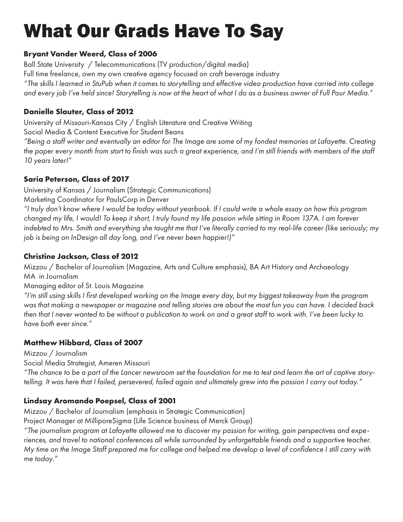# What Our Grads Have To Say

# **Bryant Vander Weerd, Class of 2006**

Ball State University / Telecommunications (TV production/digital media) Full time freelance, own my own creative agency focused on craft beverage industry *"The skills I learned in StuPub when it comes to storytelling and effective video production have carried into college and every job I've held since! Storytelling is now at the heart of what I do as a business owner of Full Pour Media."*

# **Danielle Slauter, Class of 2012**

University of Missouri-Kansas City / English Literature and Creative Writing

Social Media & Content Executive for Student Beans

*"Being a staff writer and eventually an editor for The Image are some of my fondest memories at Lafayette. Creating the paper every month from start to finish was such a great experience, and I'm still friends with members of the staff 10 years later!"*

# **Saria Peterson, Class of 2017**

University of Kansas / Journalism (Strategic Communications)

Marketing Coordinator for PaulsCorp in Denver

*"I truly don't know where I would be today without yearbook. If I could write a whole essay on how this program changed my life, I would! To keep it short, I truly found my life passion while sitting in Room 137A. I am forever indebted to Mrs. Smith and everything she taught me that I've literally carried to my real-life career (like seriously; my job is being on InDesign all day long, and I've never been happier!)"*

# **Christine Jackson, Class of 2012**

Mizzou / Bachelor of Journalism (Magazine, Arts and Culture emphasis), BA Art History and Archaeology MA in Journalism

# Managing editor of St. Louis Magazine

*"I'm still using skills I first developed working on the Image every day, but my biggest takeaway from the program was that making a newspaper or magazine and telling stories are about the most fun you can have. I decided back then that I never wanted to be without a publication to work on and a great staff to work with. I've been lucky to have both ever since."*

# **Matthew Hibbard, Class of 2007**

Mizzou / Journalism

Social Media Strategist, Ameren Missouri

*"The chance to be a part of the Lancer newsroom set the foundation for me to test and learn the art of captive storytelling. It was here that I failed, persevered, failed again and ultimately grew into the passion I carry out today."*

# **Lindsay Aromando Poepsel, Class of 2001**

Mizzou / Bachelor of Journalism (emphasis in Strategic Communication)

Project Manager at MilliporeSigma (Life Science business of Merck Group)

*"The journalism program at Lafayette allowed me to discover my passion for writing, gain perspectives and experiences, and travel to national conferences all while surrounded by unforgettable friends and a supportive teacher. My time on the Image Staff prepared me for college and helped me develop a level of confidence I still carry with me today."*